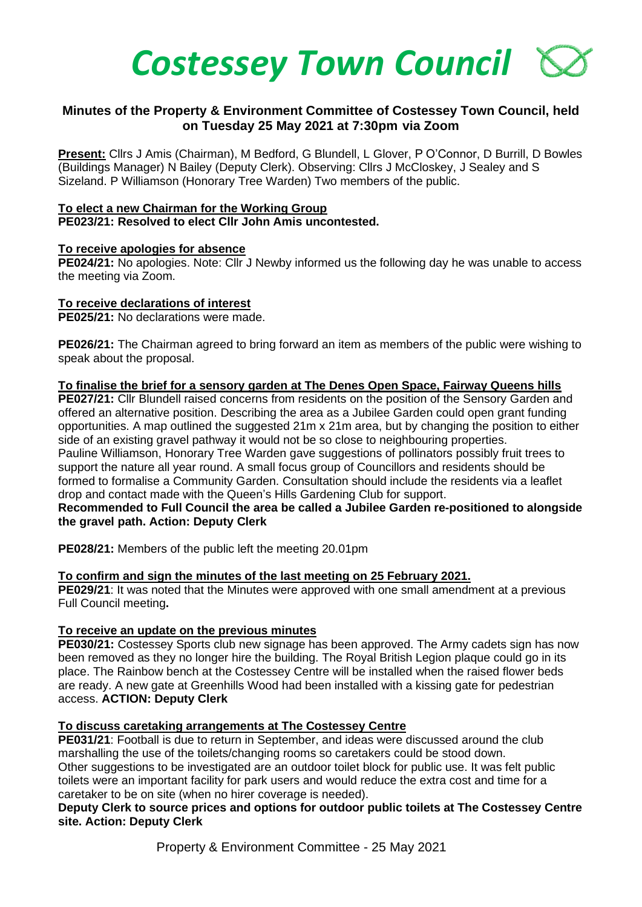

# **Minutes of the Property & Environment Committee of Costessey Town Council, held on Tuesday 25 May 2021 at 7:30pm via Zoom**

**Present:** Cllrs J Amis (Chairman), M Bedford, G Blundell, L Glover, P O'Connor, D Burrill, D Bowles (Buildings Manager) N Bailey (Deputy Clerk). Observing: Cllrs J McCloskey, J Sealey and S Sizeland. P Williamson (Honorary Tree Warden) Two members of the public.

#### **To elect a new Chairman for the Working Group PE023/21: Resolved to elect Cllr John Amis uncontested.**

### **To receive apologies for absence**

**PE024/21:** No apologies. Note: Cllr J Newby informed us the following day he was unable to access the meeting via Zoom.

### **To receive declarations of interest**

**PE025/21:** No declarations were made.

**PE026/21:** The Chairman agreed to bring forward an item as members of the public were wishing to speak about the proposal.

#### **To finalise the brief for a sensory garden at The Denes Open Space, Fairway Queens hills**

**PE027/21:** Cllr Blundell raised concerns from residents on the position of the Sensory Garden and offered an alternative position. Describing the area as a Jubilee Garden could open grant funding opportunities. A map outlined the suggested 21m x 21m area, but by changing the position to either side of an existing gravel pathway it would not be so close to neighbouring properties. Pauline Williamson, Honorary Tree Warden gave suggestions of pollinators possibly fruit trees to support the nature all year round. A small focus group of Councillors and residents should be formed to formalise a Community Garden. Consultation should include the residents via a leaflet drop and contact made with the Queen's Hills Gardening Club for support.

### **Recommended to Full Council the area be called a Jubilee Garden re-positioned to alongside the gravel path. Action: Deputy Clerk**

**PE028/21:** Members of the public left the meeting 20.01pm

### **To confirm and sign the minutes of the last meeting on 25 February 2021.**

**PE029/21**: It was noted that the Minutes were approved with one small amendment at a previous Full Council meeting**.** 

### **To receive an update on the previous minutes**

**PE030/21:** Costessey Sports club new signage has been approved. The Army cadets sign has now been removed as they no longer hire the building. The Royal British Legion plaque could go in its place. The Rainbow bench at the Costessey Centre will be installed when the raised flower beds are ready. A new gate at Greenhills Wood had been installed with a kissing gate for pedestrian access. **ACTION: Deputy Clerk**

#### **To discuss caretaking arrangements at The Costessey Centre**

**PE031/21**: Football is due to return in September, and ideas were discussed around the club marshalling the use of the toilets/changing rooms so caretakers could be stood down. Other suggestions to be investigated are an outdoor toilet block for public use. It was felt public toilets were an important facility for park users and would reduce the extra cost and time for a caretaker to be on site (when no hirer coverage is needed).

### **Deputy Clerk to source prices and options for outdoor public toilets at The Costessey Centre site. Action: Deputy Clerk**

Property & Environment Committee - 25 May 2021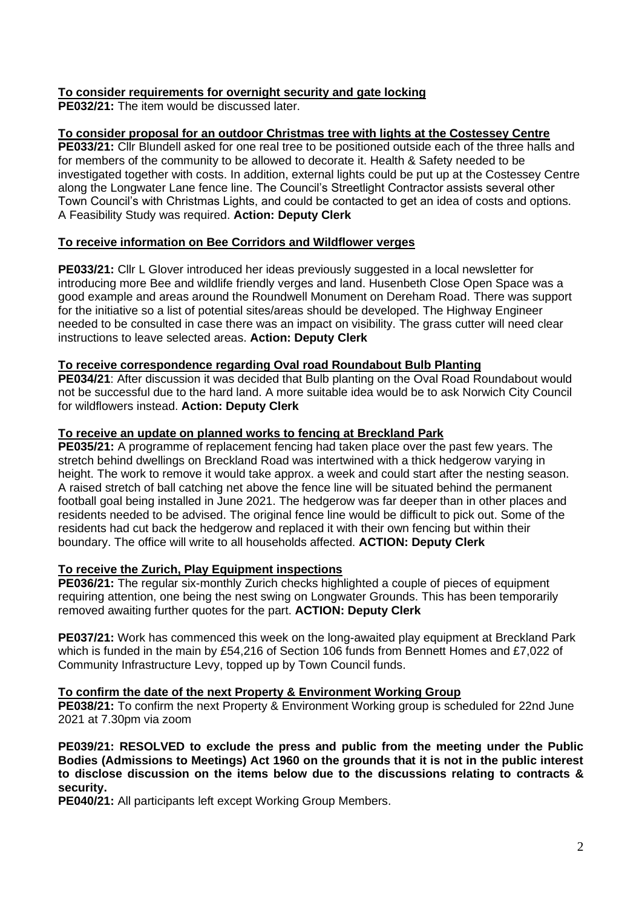# **To consider requirements for overnight security and gate locking**

**PE032/21:** The item would be discussed later.

# **To consider proposal for an outdoor Christmas tree with lights at the Costessey Centre**

**PE033/21:** Cllr Blundell asked for one real tree to be positioned outside each of the three halls and for members of the community to be allowed to decorate it. Health & Safety needed to be investigated together with costs. In addition, external lights could be put up at the Costessey Centre along the Longwater Lane fence line. The Council's Streetlight Contractor assists several other Town Council's with Christmas Lights, and could be contacted to get an idea of costs and options. A Feasibility Study was required. **Action: Deputy Clerk**

## **To receive information on Bee Corridors and Wildflower verges**

**PE033/21:** Cllr L Glover introduced her ideas previously suggested in a local newsletter for introducing more Bee and wildlife friendly verges and land. Husenbeth Close Open Space was a good example and areas around the Roundwell Monument on Dereham Road. There was support for the initiative so a list of potential sites/areas should be developed. The Highway Engineer needed to be consulted in case there was an impact on visibility. The grass cutter will need clear instructions to leave selected areas. **Action: Deputy Clerk**

### **To receive correspondence regarding Oval road Roundabout Bulb Planting**

**PE034/21**: After discussion it was decided that Bulb planting on the Oval Road Roundabout would not be successful due to the hard land. A more suitable idea would be to ask Norwich City Council for wildflowers instead. **Action: Deputy Clerk**

### **To receive an update on planned works to fencing at Breckland Park**

**PE035/21:** A programme of replacement fencing had taken place over the past few years. The stretch behind dwellings on Breckland Road was intertwined with a thick hedgerow varying in height. The work to remove it would take approx. a week and could start after the nesting season. A raised stretch of ball catching net above the fence line will be situated behind the permanent football goal being installed in June 2021. The hedgerow was far deeper than in other places and residents needed to be advised. The original fence line would be difficult to pick out. Some of the residents had cut back the hedgerow and replaced it with their own fencing but within their boundary. The office will write to all households affected. **ACTION: Deputy Clerk**

### **To receive the Zurich, Play Equipment inspections**

**PE036/21:** The regular six-monthly Zurich checks highlighted a couple of pieces of equipment requiring attention, one being the nest swing on Longwater Grounds. This has been temporarily removed awaiting further quotes for the part. **ACTION: Deputy Clerk**

**PE037/21:** Work has commenced this week on the long-awaited play equipment at Breckland Park which is funded in the main by £54,216 of Section 106 funds from Bennett Homes and £7,022 of Community Infrastructure Levy, topped up by Town Council funds.

### **To confirm the date of the next Property & Environment Working Group**

**PE038/21:** To confirm the next Property & Environment Working group is scheduled for 22nd June 2021 at 7.30pm via zoom

**PE039/21: RESOLVED to exclude the press and public from the meeting under the Public Bodies (Admissions to Meetings) Act 1960 on the grounds that it is not in the public interest to disclose discussion on the items below due to the discussions relating to contracts & security.**

**PE040/21:** All participants left except Working Group Members.